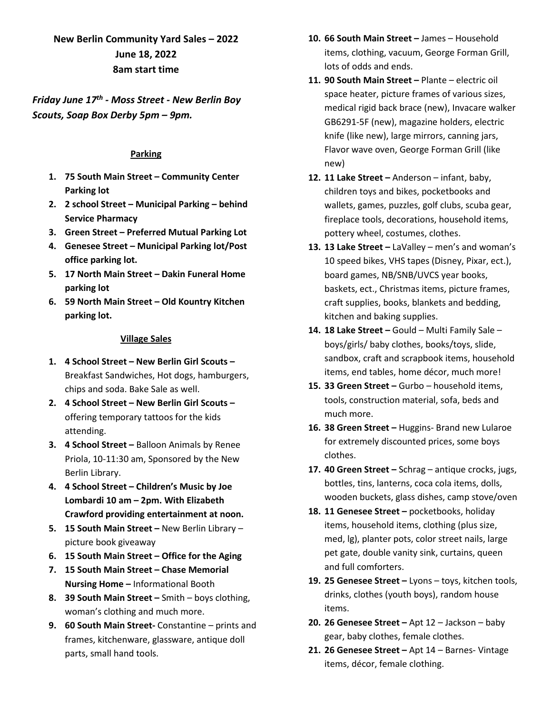# **New Berlin Community Yard Sales – 2022 June 18, 2022 8am start time**

*Friday June 17th - Moss Street - New Berlin Boy Scouts, Soap Box Derby 5pm – 9pm.* 

#### **Parking**

- **1. 75 South Main Street – Community Center Parking lot**
- **2. 2 school Street – Municipal Parking – behind Service Pharmacy**
- **3. Green Street – Preferred Mutual Parking Lot**
- **4. Genesee Street – Municipal Parking lot/Post office parking lot.**
- **5. 17 North Main Street – Dakin Funeral Home parking lot**
- **6. 59 North Main Street – Old Kountry Kitchen parking lot.**

#### **Village Sales**

- **1. 4 School Street – New Berlin Girl Scouts –** Breakfast Sandwiches, Hot dogs, hamburgers, chips and soda. Bake Sale as well.
- **2. 4 School Street – New Berlin Girl Scouts –** offering temporary tattoos for the kids attending.
- **3. 4 School Street –** Balloon Animals by Renee Priola, 10-11:30 am, Sponsored by the New Berlin Library.
- **4. 4 School Street – Children's Music by Joe Lombardi 10 am – 2pm. With Elizabeth Crawford providing entertainment at noon.**
- **5. 15 South Main Street –** New Berlin Library picture book giveaway
- **6. 15 South Main Street – Office for the Aging**
- **7. 15 South Main Street – Chase Memorial Nursing Home –** Informational Booth
- **8. 39 South Main Street –** Smith boys clothing, woman's clothing and much more.
- **9. 60 South Main Street-** Constantine prints and frames, kitchenware, glassware, antique doll parts, small hand tools.
- **10. 66 South Main Street –** James Household items, clothing, vacuum, George Forman Grill, lots of odds and ends.
- **11. 90 South Main Street –** Plante electric oil space heater, picture frames of various sizes, medical rigid back brace (new), Invacare walker GB6291-5F (new), magazine holders, electric knife (like new), large mirrors, canning jars, Flavor wave oven, George Forman Grill (like new)
- **12. 11 Lake Street –** Anderson infant, baby, children toys and bikes, pocketbooks and wallets, games, puzzles, golf clubs, scuba gear, fireplace tools, decorations, household items, pottery wheel, costumes, clothes.
- **13. 13 Lake Street –** LaValley men's and woman's 10 speed bikes, VHS tapes (Disney, Pixar, ect.), board games, NB/SNB/UVCS year books, baskets, ect., Christmas items, picture frames, craft supplies, books, blankets and bedding, kitchen and baking supplies.
- **14. 18 Lake Street –** Gould Multi Family Sale boys/girls/ baby clothes, books/toys, slide, sandbox, craft and scrapbook items, household items, end tables, home décor, much more!
- **15. 33 Green Street –** Gurbo household items, tools, construction material, sofa, beds and much more.
- **16. 38 Green Street –** Huggins- Brand new Lularoe for extremely discounted prices, some boys clothes.
- **17. 40 Green Street –** Schrag antique crocks, jugs, bottles, tins, lanterns, coca cola items, dolls, wooden buckets, glass dishes, camp stove/oven
- **18. 11 Genesee Street –** pocketbooks, holiday items, household items, clothing (plus size, med, lg), planter pots, color street nails, large pet gate, double vanity sink, curtains, queen and full comforters.
- **19. 25 Genesee Street –** Lyons toys, kitchen tools, drinks, clothes (youth boys), random house items.
- **20. 26 Genesee Street –** Apt 12 Jackson baby gear, baby clothes, female clothes.
- **21. 26 Genesee Street –** Apt 14 Barnes- Vintage items, décor, female clothing.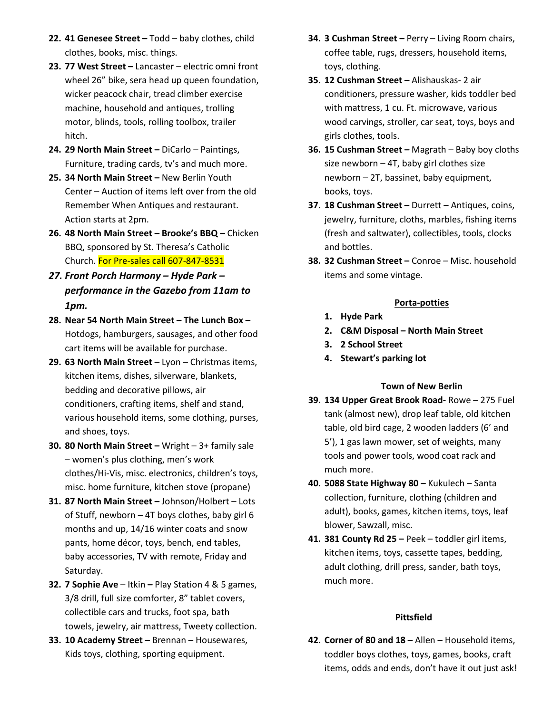- **22. 41 Genesee Street –** Todd baby clothes, child clothes, books, misc. things.
- **23. 77 West Street –** Lancaster electric omni front wheel 26" bike, sera head up queen foundation, wicker peacock chair, tread climber exercise machine, household and antiques, trolling motor, blinds, tools, rolling toolbox, trailer hitch.
- **24. 29 North Main Street –** DiCarlo Paintings, Furniture, trading cards, tv's and much more.
- **25. 34 North Main Street –** New Berlin Youth Center – Auction of items left over from the old Remember When Antiques and restaurant. Action starts at 2pm.
- **26. 48 North Main Street – Brooke's BBQ –** Chicken BBQ, sponsored by St. Theresa's Catholic Church. For Pre-sales call 607-847-8531
- *27. Front Porch Harmony – Hyde Park – performance in the Gazebo from 11am to 1pm.*
- **28. Near 54 North Main Street – The Lunch Box –** Hotdogs, hamburgers, sausages, and other food cart items will be available for purchase.
- **29. 63 North Main Street –** Lyon Christmas items, kitchen items, dishes, silverware, blankets, bedding and decorative pillows, air conditioners, crafting items, shelf and stand, various household items, some clothing, purses, and shoes, toys.
- **30. 80 North Main Street –** Wright 3+ family sale – women's plus clothing, men's work clothes/Hi-Vis, misc. electronics, children's toys, misc. home furniture, kitchen stove (propane)
- **31. 87 North Main Street –** Johnson/Holbert Lots of Stuff, newborn – 4T boys clothes, baby girl 6 months and up, 14/16 winter coats and snow pants, home décor, toys, bench, end tables, baby accessories, TV with remote, Friday and Saturday.
- **32. 7 Sophie Ave**  Itkin **–** Play Station 4 & 5 games, 3/8 drill, full size comforter, 8" tablet covers, collectible cars and trucks, foot spa, bath towels, jewelry, air mattress, Tweety collection.
- **33. 10 Academy Street –** Brennan Housewares, Kids toys, clothing, sporting equipment.
- **34. 3 Cushman Street –** Perry Living Room chairs, coffee table, rugs, dressers, household items, toys, clothing.
- **35. 12 Cushman Street –** Alishauskas- 2 air conditioners, pressure washer, kids toddler bed with mattress, 1 cu. Ft. microwave, various wood carvings, stroller, car seat, toys, boys and girls clothes, tools.
- **36. 15 Cushman Street –** Magrath Baby boy cloths size newborn – 4T, baby girl clothes size newborn – 2T, bassinet, baby equipment, books, toys.
- **37. 18 Cushman Street –** Durrett Antiques, coins, jewelry, furniture, cloths, marbles, fishing items (fresh and saltwater), collectibles, tools, clocks and bottles.
- **38. 32 Cushman Street –** Conroe Misc. household items and some vintage.

## **Porta-potties**

- **1. Hyde Park**
- **2. C&M Disposal – North Main Street**
- **3. 2 School Street**
- **4. Stewart's parking lot**

### **Town of New Berlin**

- **39. 134 Upper Great Brook Road-** Rowe 275 Fuel tank (almost new), drop leaf table, old kitchen table, old bird cage, 2 wooden ladders (6' and 5'), 1 gas lawn mower, set of weights, many tools and power tools, wood coat rack and much more.
- **40. 5088 State Highway 80 –** Kukulech Santa collection, furniture, clothing (children and adult), books, games, kitchen items, toys, leaf blower, Sawzall, misc.
- **41. 381 County Rd 25 –** Peek toddler girl items, kitchen items, toys, cassette tapes, bedding, adult clothing, drill press, sander, bath toys, much more.

### **Pittsfield**

**42. Corner of 80 and 18 –** Allen – Household items, toddler boys clothes, toys, games, books, craft items, odds and ends, don't have it out just ask!